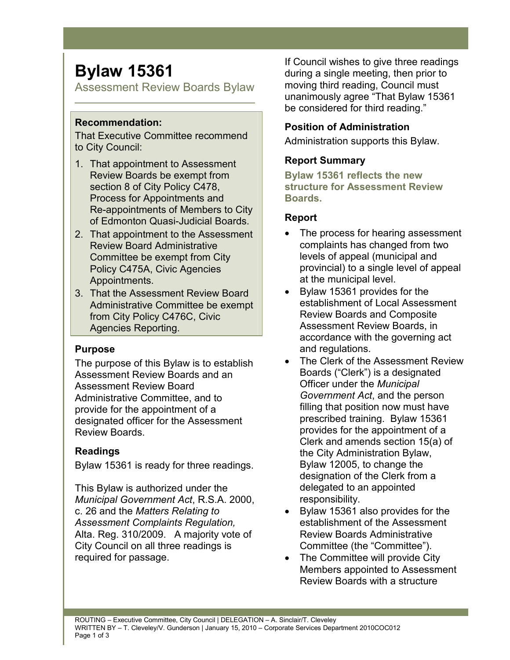# **Bylaw 15361**

Assessment Review Boards Bylaw

## **Recommendation:**

That Executive Committee recommend to City Council:

- 1. That appointment to Assessment Review Boards be exempt from section 8 of City Policy C478, Process for Appointments and Re-appointments of Members to City of Edmonton Quasi-Judicial Boards.
- 2. That appointment to the Assessment Review Board Administrative Committee be exempt from City Policy C475A, Civic Agencies Appointments.
- 3. That the Assessment Review Board Administrative Committee be exempt from City Policy C476C, Civic Agencies Reporting.

## **Purpose**

The purpose of this Bylaw is to establish Assessment Review Boards and an Assessment Review Board Administrative Committee, and to provide for the appointment of a designated officer for the Assessment Review Boards.

# **Readings**

Bylaw 15361 is ready for three readings.

This Bylaw is authorized under the *Municipal Government Act*, R.S.A. 2000, c. 26 and the *Matters Relating to Assessment Complaints Regulation,* Alta. Reg. 310/2009. A majority vote of City Council on all three readings is required for passage.

If Council wishes to give three readings during a single meeting, then prior to moving third reading, Council must unanimously agree "That Bylaw 15361 be considered for third reading."

## **Position of Administration**

Administration supports this Bylaw.

# **Report Summary**

**Bylaw 15361 reflects the new structure for Assessment Review Boards.** 

## **Report**

- The process for hearing assessment complaints has changed from two levels of appeal (municipal and provincial) to a single level of appeal at the municipal level.
- Bylaw 15361 provides for the establishment of Local Assessment Review Boards and Composite Assessment Review Boards, in accordance with the governing act and regulations.
- The Clerk of the Assessment Review Boards ("Clerk") is a designated Officer under the *Municipal Government Act*, and the person filling that position now must have prescribed training. Bylaw 15361 provides for the appointment of a Clerk and amends section 15(a) of the City Administration Bylaw, Bylaw 12005, to change the designation of the Clerk from a delegated to an appointed responsibility.
- Bylaw 15361 also provides for the establishment of the Assessment Review Boards Administrative Committee (the "Committee").
- The Committee will provide City Members appointed to Assessment Review Boards with a structure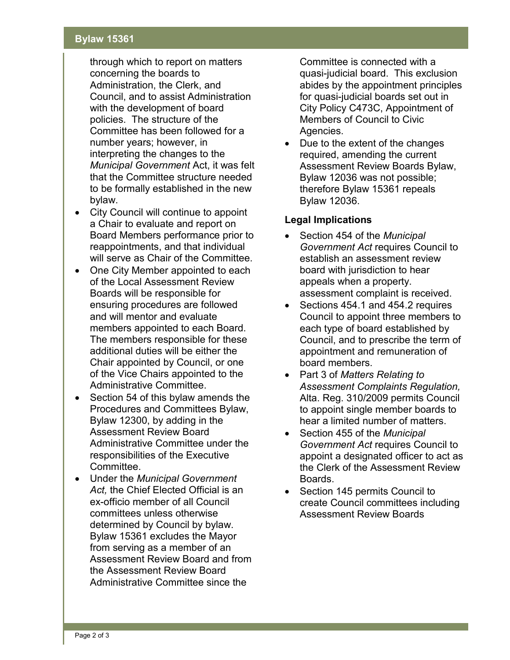#### **Bylaw 15361**

through which to report on matters concerning the boards to Administration, the Clerk, and Council, and to assist Administration with the development of board policies. The structure of the Committee has been followed for a number years; however, in interpreting the changes to the *Municipal Government* Act, it was felt that the Committee structure needed to be formally established in the new bylaw.

- City Council will continue to appoint a Chair to evaluate and report on Board Members performance prior to reappointments, and that individual will serve as Chair of the Committee.
- One City Member appointed to each of the Local Assessment Review Boards will be responsible for ensuring procedures are followed and will mentor and evaluate members appointed to each Board. The members responsible for these additional duties will be either the Chair appointed by Council, or one of the Vice Chairs appointed to the Administrative Committee.
- Section 54 of this bylaw amends the Procedures and Committees Bylaw, Bylaw 12300, by adding in the Assessment Review Board Administrative Committee under the responsibilities of the Executive Committee.
- Under the *Municipal Government Act,* the Chief Elected Official is an ex-officio member of all Council committees unless otherwise determined by Council by bylaw. Bylaw 15361 excludes the Mayor from serving as a member of an Assessment Review Board and from the Assessment Review Board Administrative Committee since the

Committee is connected with a quasi-judicial board. This exclusion abides by the appointment principles for quasi-judicial boards set out in City Policy C473C, Appointment of Members of Council to Civic Agencies.

Due to the extent of the changes required, amending the current Assessment Review Boards Bylaw, Bylaw 12036 was not possible; therefore Bylaw 15361 repeals Bylaw 12036.

#### **Legal Implications**

- Section 454 of the *Municipal Government Act* requires Council to establish an assessment review board with jurisdiction to hear appeals when a property. assessment complaint is received.
- Sections 454.1 and 454.2 requires Council to appoint three members to each type of board established by Council, and to prescribe the term of appointment and remuneration of board members.
- Part 3 of *Matters Relating to Assessment Complaints Regulation,* Alta. Reg. 310/2009 permits Council to appoint single member boards to hear a limited number of matters.
- Section 455 of the *Municipal Government Act* requires Council to appoint a designated officer to act as the Clerk of the Assessment Review Boards.
- Section 145 permits Council to create Council committees including Assessment Review Boards